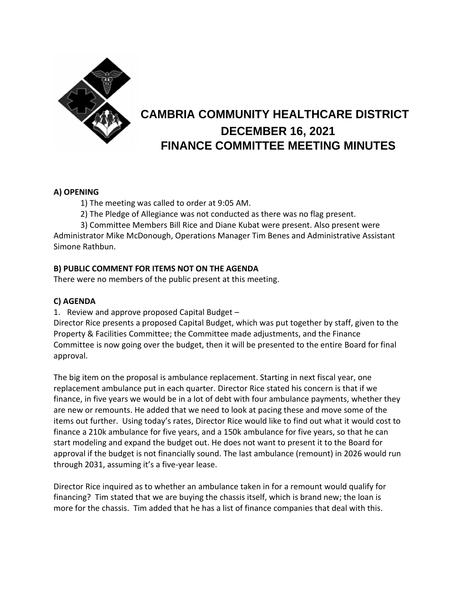

# **CAMBRIA COMMUNITY HEALTHCARE DISTRICT DECEMBER 16, 2021 FINANCE COMMITTEE MEETING MINUTES**

#### **A) OPENING**

1) The meeting was called to order at 9:05 AM.

2) The Pledge of Allegiance was not conducted as there was no flag present.

3) Committee Members Bill Rice and Diane Kubat were present. Also present were Administrator Mike McDonough, Operations Manager Tim Benes and Administrative Assistant Simone Rathbun.

# **B) PUBLIC COMMENT FOR ITEMS NOT ON THE AGENDA**

There were no members of the public present at this meeting.

## **C) AGENDA**

1. Review and approve proposed Capital Budget –

Director Rice presents a proposed Capital Budget, which was put together by staff, given to the Property & Facilities Committee; the Committee made adjustments, and the Finance Committee is now going over the budget, then it will be presented to the entire Board for final approval.

The big item on the proposal is ambulance replacement. Starting in next fiscal year, one replacement ambulance put in each quarter. Director Rice stated his concern is that if we finance, in five years we would be in a lot of debt with four ambulance payments, whether they are new or remounts. He added that we need to look at pacing these and move some of the items out further. Using today's rates, Director Rice would like to find out what it would cost to finance a 210k ambulance for five years, and a 150k ambulance for five years, so that he can start modeling and expand the budget out. He does not want to present it to the Board for approval if the budget is not financially sound. The last ambulance (remount) in 2026 would run through 2031, assuming it's a five-year lease.

Director Rice inquired as to whether an ambulance taken in for a remount would qualify for financing? Tim stated that we are buying the chassis itself, which is brand new; the loan is more for the chassis. Tim added that he has a list of finance companies that deal with this.